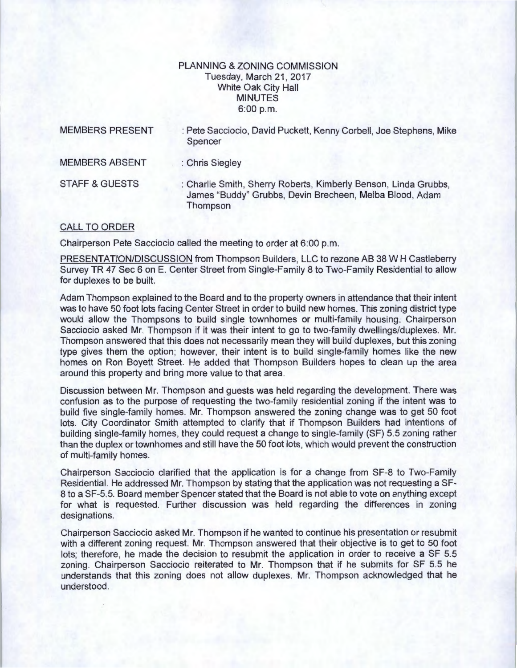## PLANNING & ZONING COMMISSION Tuesday, March 21, 2017 White Oak City Hall MINUTES 6:00 p.m.

| <b>MEMBERS PRESENT</b>    | : Pete Sacciocio, David Puckett, Kenny Corbell, Joe Stephens, Mike<br>Spencer                                                          |
|---------------------------|----------------------------------------------------------------------------------------------------------------------------------------|
| <b>MEMBERS ABSENT</b>     | : Chris Siegley                                                                                                                        |
| <b>STAFF &amp; GUESTS</b> | : Charlie Smith, Sherry Roberts, Kimberly Benson, Linda Grubbs,<br>James "Buddy" Grubbs, Devin Brecheen, Melba Blood, Adam<br>Thompson |

## CALL TO ORDER

Chairperson Pete Sacciocio called the meeting to order at 6:00 p.m.

PRESENTATION/DISCUSSION from Thompson Builders, LLC to rezone AB 38 W H Castleberry Survey TR 47 Sec 6 on E. Center Street from Single-Family 8 to Two-Family Residential to allow for duplexes to be built.

Adam Thompson explained to the Board and to the property owners in attendance that their intent was to have 50 foot lots facing Center Street in order to build new homes. This zoning district type would allow the Thompsons to build single townhomes or multi-family housing. Chairperson Sacciocio asked Mr. Thompson if it was their intent to go to two-family dwellings/duplexes. Mr. Thompson answered that this does not necessarily mean they will build duplexes, but this zoning type gives them the option; however, their intent is to build single-family homes like the new homes on Ron Boyett Street. He added that Thompson Builders hopes to clean up the area around this property and bring more value to that area.

Discussion between Mr. Thompson and guests was held regarding the development. There was confusion as to the purpose of requesting the two-family residential zoning if the intent was to build five single-family homes. Mr. Thompson answered the zoning change was to get 50 foot lots. City Coordinator Smith attempted to clarify that if Thompson Builders had intentions of building single-family homes, they could request a change to single-family (SF) 5.5 zoning rather than the duplex or townhomes and still have the 50 foot lots, which would prevent the construction of multi-family homes.

Chairperson Sacciocio clarified that the application is for a change from SF-8 to Two-Family Residential. He addressed Mr. Thompson by stating that the application was not requesting a SF-8 to a SF-5.5. Board member Spencer stated that the Board is not able to vote on anything except for what is requested. Further discussion was held regarding the differences in zoning designations.

Chairperson Sacciocio asked Mr. Thompson if he wanted to continue his presentation or resubmit with a different zoning request. Mr. Thompson answered that their objective is to get to 50 foot lots; therefore, he made the decision to resubmit the application in order to receive a SF 5.5 zoning. Chairperson Sacciocio reiterated to Mr. Thompson that if he submits for SF 5.5 he understands that this zoning does not allow duplexes. Mr. Thompson acknowledged that he understood.